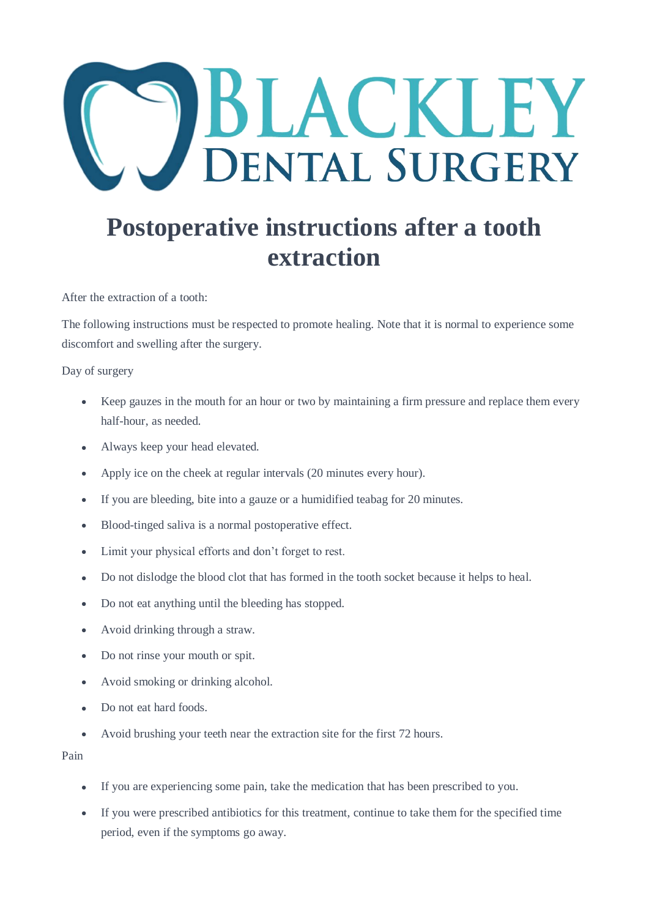## BLACKLEY **DENTAL SURGERY**

## **Postoperative instructions after a tooth extraction**

After the extraction of a tooth:

The following instructions must be respected to promote healing. Note that it is normal to experience some discomfort and swelling after the surgery.

Day of surgery

- Keep gauzes in the mouth for an hour or two by maintaining a firm pressure and replace them every half-hour, as needed.
- Always keep your head elevated.
- Apply ice on the cheek at regular intervals (20 minutes every hour).
- If you are bleeding, bite into a gauze or a humidified teabag for 20 minutes.
- Blood-tinged saliva is a normal postoperative effect.
- Limit your physical efforts and don't forget to rest.
- Do not dislodge the blood clot that has formed in the tooth socket because it helps to heal.
- Do not eat anything until the bleeding has stopped.
- Avoid drinking through a straw.
- Do not rinse your mouth or spit.
- Avoid smoking or drinking alcohol.
- Do not eat hard foods.
- Avoid brushing your teeth near the extraction site for the first 72 hours.

Pain

- If you are experiencing some pain, take the medication that has been prescribed to you.
- If you were prescribed antibiotics for this treatment, continue to take them for the specified time period, even if the symptoms go away.